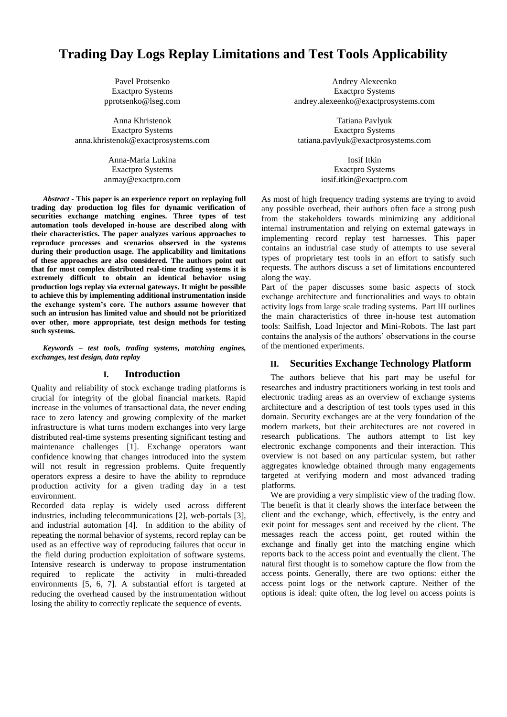# **Trading Day Logs Replay Limitations and Test Tools Applicability**

Pavel Protsenko Exactpro Systems pprotsenko@lseg.com

Anna Khristenok Exactpro Systems [anna.khristenok@exactprosystems.com](mailto:anna.khristenok@exactprosystems.com)

> Anna-Maria Lukina Exactpro Systems anmay@exactpro.com

*Abstract -* **This paper is an experience report on replaying full trading day production log files for dynamic verification of securities exchange matching engines. Three types of test automation tools developed in-house are described along with their characteristics. The paper analyzes various approaches to reproduce processes and scenarios observed in the systems during their production usage. The applicability and limitations of these approaches are also considered. The authors point out that for most complex distributed real-time trading systems it is extremely difficult to obtain an identical behavior using production logs replay via external gateways. It might be possible to achieve this by implementing additional instrumentation inside the exchange system's core. The authors assume however that such an intrusion has limited value and should not be prioritized over other, more appropriate, test design methods for testing such systems.**

*Keywords – test tools, trading systems, matching engines, exchanges, test design, data replay*

#### **I. Introduction**

Quality and reliability of stock exchange trading platforms is crucial for integrity of the global financial markets. Rapid increase in the volumes of transactional data, the never ending race to zero latency and growing complexity of the market infrastructure is what turns modern exchanges into very large distributed real-time systems presenting significant testing and maintenance challenges [1]. Exchange operators want confidence knowing that changes introduced into the system will not result in regression problems. Quite frequently operators express a desire to have the ability to reproduce production activity for a given trading day in a test environment.

Recorded data replay is widely used across different industries, including telecommunications [2], web-portals [3], and industrial automation [4]. In addition to the ability of repeating the normal behavior of systems, record replay can be used as an effective way of reproducing failures that occur in the field during production exploitation of software systems. Intensive research is underway to propose instrumentation required to replicate the activity in multi-threaded environments [5, 6, 7]. A substantial effort is targeted at reducing the overhead caused by the instrumentation without losing the ability to correctly replicate the sequence of events.

Andrey Alexeenko Exactpro Systems andrey.alexeenko@exactprosystems.com

Tatiana Pavlyuk Exactpro Systems [tatiana.pavlyuk@exactprosystems.com](mailto:tatiana.pavlyuk@exactprosystems.com)

> Iosif Itkin Exactpro Systems [iosif.itkin@exactpro.com](mailto:iosif.itkin@exactpro.com)

As most of high frequency trading systems are trying to avoid any possible overhead, their authors often face a strong push from the stakeholders towards minimizing any additional internal instrumentation and relying on external gateways in implementing record replay test harnesses. This paper contains an industrial case study of attempts to use several types of proprietary test tools in an effort to satisfy such requests. The authors discuss a set of limitations encountered along the way.

Part of the paper discusses some basic aspects of stock exchange architecture and functionalities and ways to obtain activity logs from large scale trading systems. Part III outlines the main characteristics of three in-house test automation tools: Sailfish, Load Injector and Mini-Robots. The last part contains the analysis of the authors' observations in the course of the mentioned experiments.

#### **II. Securities Exchange Technology Platform**

The authors believe that his part may be useful for researches and industry practitioners working in test tools and electronic trading areas as an overview of exchange systems architecture and a description of test tools types used in this domain. Security exchanges are at the very foundation of the modern markets, but their architectures are not covered in research publications. The authors attempt to list key electronic exchange components and their interaction. This overview is not based on any particular system, but rather aggregates knowledge obtained through many engagements targeted at verifying modern and most advanced trading platforms.

We are providing a very simplistic view of the trading flow. The benefit is that it clearly shows the interface between the client and the exchange, which, effectively, is the entry and exit point for messages sent and received by the client. The messages reach the access point, get routed within the exchange and finally get into the matching engine which reports back to the access point and eventually the client. The natural first thought is to somehow capture the flow from the access points. Generally, there are two options: either the access point logs or the network capture. Neither of the options is ideal: quite often, the log level on access points is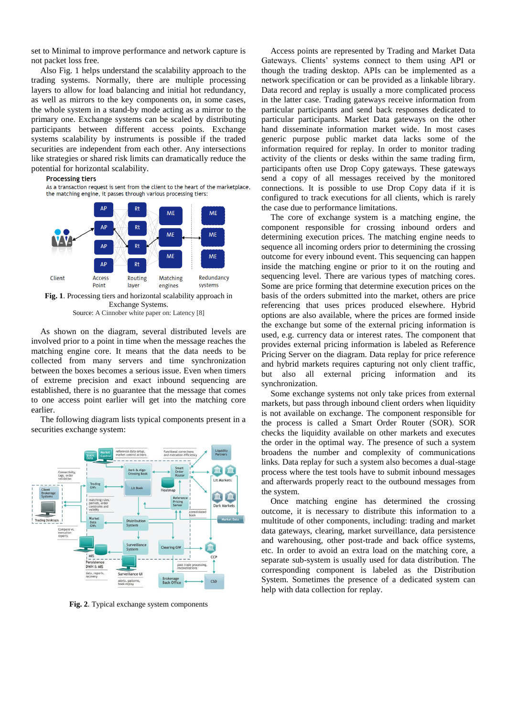set to Minimal to improve performance and network capture is not packet loss free.

Also Fig. 1 helps understand the scalability approach to the trading systems. Normally, there are multiple processing layers to allow for load balancing and initial hot redundancy, as well as mirrors to the key components on, in some cases, the whole system in a stand-by mode acting as a mirror to the primary one. Exchange systems can be scaled by distributing participants between different access points. Exchange systems scalability by instruments is possible if the traded securities are independent from each other. Any intersections like strategies or shared risk limits can dramatically reduce the potential for horizontal scalability.

#### **Processing tiers**

As a transaction request is sent from the client to the heart of the marketplace, the matching engine, it passes through various processing tiers:



As shown on the diagram, several distributed levels are involved prior to a point in time when the message reaches the matching engine core. It means that the data needs to be collected from many servers and time synchronization between the boxes becomes a serious issue. Even when timers of extreme precision and exact inbound sequencing are established, there is no guarantee that the message that comes to one access point earlier will get into the matching core earlier.

The following diagram lists typical components present in a securities exchange system:



**Fig. 2**. Typical exchange system components

Access points are represented by Trading and Market Data Gateways. Clients' systems connect to them using API or though the trading desktop. APIs can be implemented as a network specification or can be provided as a linkable library. Data record and replay is usually a more complicated process in the latter case. Trading gateways receive information from particular participants and send back responses dedicated to particular participants. Market Data gateways on the other hand disseminate information market wide. In most cases generic purpose public market data lacks some of the information required for replay. In order to monitor trading activity of the clients or desks within the same trading firm, participants often use Drop Copy gateways. These gateways send a copy of all messages received by the monitored connections. It is possible to use Drop Copy data if it is configured to track executions for all clients, which is rarely the case due to performance limitations.

The core of exchange system is a matching engine, the component responsible for crossing inbound orders and determining execution prices. The matching engine needs to sequence all incoming orders prior to determining the crossing outcome for every inbound event. This sequencing can happen inside the matching engine or prior to it on the routing and sequencing level. There are various types of matching cores. Some are price forming that determine execution prices on the basis of the orders submitted into the market, others are price referencing that uses prices produced elsewhere. Hybrid options are also available, where the prices are formed inside the exchange but some of the external pricing information is used, e.g. currency data or interest rates. The component that provides external pricing information is labeled as Reference Pricing Server on the diagram. Data replay for price reference and hybrid markets requires capturing not only client traffic, but also all external pricing information and its synchronization.

Some exchange systems not only take prices from external markets, but pass through inbound client orders when liquidity is not available on exchange. The component responsible for the process is called a Smart Order Router (SOR). SOR checks the liquidity available on other markets and executes the order in the optimal way. The presence of such a system broadens the number and complexity of communications links. Data replay for such a system also becomes a dual-stage process where the test tools have to submit inbound messages and afterwards properly react to the outbound messages from the system.

Once matching engine has determined the crossing outcome, it is necessary to distribute this information to a multitude of other components, including: trading and market data gateways, clearing, market surveillance, data persistence and warehousing, other post-trade and back office systems, etc. In order to avoid an extra load on the matching core, a separate sub-system is usually used for data distribution. The corresponding component is labeled as the Distribution System. Sometimes the presence of a dedicated system can help with data collection for replay.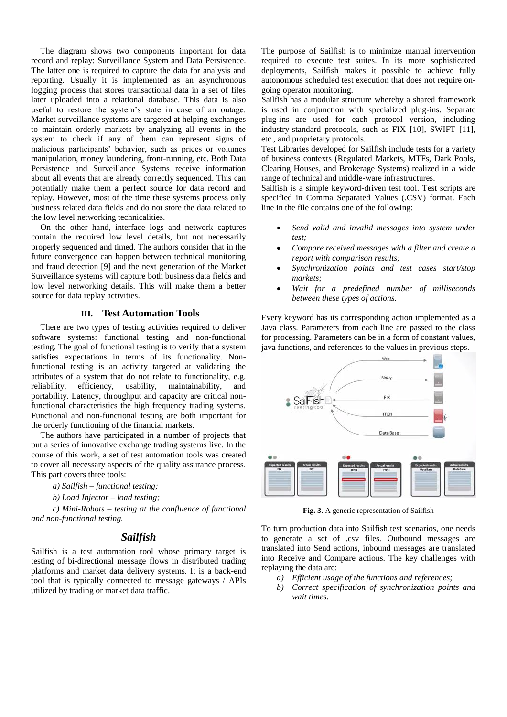The diagram shows two components important for data record and replay: Surveillance System and Data Persistence. The latter one is required to capture the data for analysis and reporting. Usually it is implemented as an asynchronous logging process that stores transactional data in a set of files later uploaded into a relational database. This data is also useful to restore the system's state in case of an outage. Market surveillance systems are targeted at helping exchanges to maintain orderly markets by analyzing all events in the system to check if any of them can represent signs of malicious participants' behavior, such as prices or volumes manipulation, money laundering, front-running, etc. Both Data Persistence and Surveillance Systems receive information about all events that are already correctly sequenced. This can potentially make them a perfect source for data record and replay. However, most of the time these systems process only business related data fields and do not store the data related to the low level networking technicalities.

On the other hand, interface logs and network captures contain the required low level details, but not necessarily properly sequenced and timed. The authors consider that in the future convergence can happen between technical monitoring and fraud detection [9] and the next generation of the Market Surveillance systems will capture both business data fields and low level networking details. This will make them a better source for data replay activities.

#### **III. Test Automation Tools**

There are two types of testing activities required to deliver software systems: functional testing and non-functional testing. The goal of functional testing is to verify that a system satisfies expectations in terms of its functionality. Nonfunctional testing is an activity targeted at validating the attributes of a system that do not relate to functionality, e.g. reliability, efficiency, usability, maintainability, and portability. Latency, throughput and capacity are critical nonfunctional characteristics the high frequency trading systems. Functional and non-functional testing are both important for the orderly functioning of the financial markets.

The authors have participated in a number of projects that put a series of innovative exchange trading systems live. In the course of this work, a set of test automation tools was created to cover all necessary aspects of the quality assurance process. This part covers three tools:

- *a) Sailfish – functional testing;*
- *b) Load Injector – load testing;*

*c) Mini-Robots – testing at the confluence of functional and non-functional testing.*

#### *Sailfish*

Sailfish is a test automation tool whose primary target is testing of bi-directional message flows in distributed trading platforms and market data delivery systems. It is a back-end tool that is typically connected to message gateways / APIs utilized by trading or market data traffic.

The purpose of Sailfish is to minimize manual intervention required to execute test suites. In its more sophisticated deployments, Sailfish makes it possible to achieve fully autonomous scheduled test execution that does not require ongoing operator monitoring.

Sailfish has a modular structure whereby a shared framework is used in conjunction with specialized plug-ins. Separate plug-ins are used for each protocol version, including industry-standard protocols, such as FIX [10], SWIFT [11], etc., and proprietary protocols.

Test Libraries developed for Sailfish include tests for a variety of business contexts (Regulated Markets, MTFs, Dark Pools, Clearing Houses, and Brokerage Systems) realized in a wide range of technical and middle-ware infrastructures.

Sailfish is a simple keyword-driven test tool. Test scripts are specified in Comma Separated Values (.CSV) format. Each line in the file contains one of the following:

- *Send valid and invalid messages into system under test;*
- *Compare received messages with a filter and create a report with comparison results;*
- *Synchronization points and test cases start/stop markets;*
- *Wait for a predefined number of milliseconds between these types of actions.*

Every keyword has its corresponding action implemented as a Java class. Parameters from each line are passed to the class for processing. Parameters can be in a form of constant values, java functions, and references to the values in previous steps.



**Fig. 3**. A generic representation of Sailfish

To turn production data into Sailfish test scenarios, one needs to generate a set of .csv files. Outbound messages are translated into Send actions, inbound messages are translated into Receive and Compare actions. The key challenges with replaying the data are:

- *a) Efficient usage of the functions and references;*
- *b) Correct specification of synchronization points and wait times.*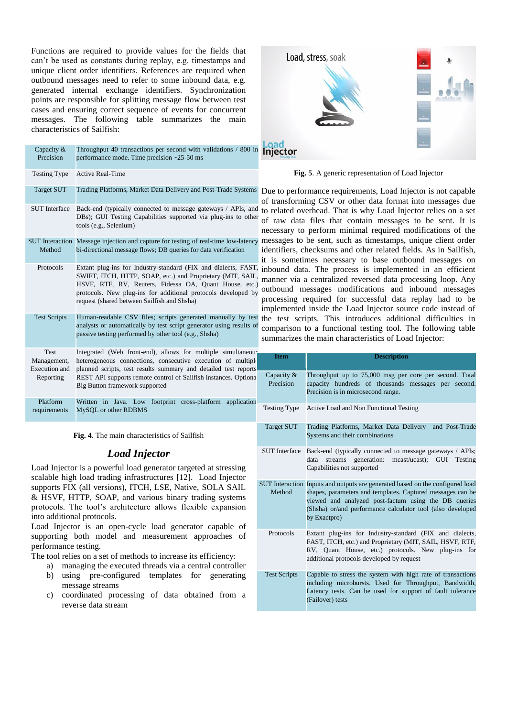Functions are required to provide values for the fields that can't be used as constants during replay, e.g. timestamps and unique client order identifiers. References are required when outbound messages need to refer to some inbound data, e.g. generated internal exchange identifiers. Synchronization points are responsible for splitting message flow between test cases and ensuring correct sequence of events for concurrent messages. The following table summarizes the main characteristics of Sailfish:

| Capacity &<br>Precision                           | Throughput 40 transactions per second with validations / 800 in<br>performance mode. Time precision $\approx$ 25-50 ms                                                                                                                                                                                 |                                     |
|---------------------------------------------------|--------------------------------------------------------------------------------------------------------------------------------------------------------------------------------------------------------------------------------------------------------------------------------------------------------|-------------------------------------|
| <b>Testing Type</b>                               | <b>Active Real-Time</b>                                                                                                                                                                                                                                                                                |                                     |
| <b>Target SUT</b>                                 | Trading Platforms, Market Data Delivery and Post-Trade Systems                                                                                                                                                                                                                                         | D<br>$\mathbf{O}$                   |
| <b>SUT</b> Interface                              | Back-end (typically connected to message gateways / APIs, and<br>DBs); GUI Testing Capabilities supported via plug-ins to other<br>tools (e.g., Selenium)                                                                                                                                              | t<br>$\mathbf{O}$<br>$\mathbf{n}$   |
| Method                                            | SUT Interaction Message injection and capture for testing of real-time low-latency<br>bi-directional message flows; DB queries for data verification                                                                                                                                                   | $\mathbf n$<br>ic<br>it             |
| Protocols                                         | Extant plug-ins for Industry-standard (FIX and dialects, FAST,<br>SWIFT, ITCH, HTTP, SOAP, etc.) and Proprietary (MIT, SAIL,<br>HSVF, RTF, RV, Reuters, Fidessa OA, Quant House, etc.)<br>protocols. New plug-ins for additional protocols developed by<br>request (shared between Sailfish and Shsha) | ir<br>m<br>$\mathbf{O}$<br>p:<br>ir |
| <b>Test Scripts</b>                               | Human-readable CSV files; scripts generated manually by test th<br>analysts or automatically by test script generator using results of<br>passive testing performed by other tool (e.g., Shsha)                                                                                                        | $\overline{c}$<br>Sl                |
| Test<br>Management,<br>Execution and<br>Reporting | Integrated (Web front-end), allows for multiple simultaneous<br>heterogeneous connections, consecutive execution of multiple<br>planned scripts, test results summary and detailed test reports<br>REST API supports remote control of Sailfish instances. Optional<br>Big Button framework supported  |                                     |
| Platform<br>requirements                          | Written in<br>Java.<br>footprint cross-platform<br>Low<br>application<br>MySQL or other RDBMS                                                                                                                                                                                                          | T                                   |
|                                                   |                                                                                                                                                                                                                                                                                                        |                                     |

**Fig. 4**. The main characteristics of Sailfish

## *Load Injector*

Load Injector is a powerful load generator targeted at stressing scalable high load trading infrastructures [12]. Load Injector supports FIX (all versions), ITCH, LSE, Native, SOLA SAIL & HSVF, HTTP, SOAP, and various binary trading systems protocols. The tool's architecture allows flexible expansion into additional protocols.

Load Injector is an open-cycle load generator capable of supporting both model and measurement approaches of performance testing.

The tool relies on a set of methods to increase its efficiency:

- a) managing the executed threads via a central controller
- b) using pre-configured templates for generating message streams
- c) coordinated processing of data obtained from a reverse data stream



**Fig. 5**. A generic representation of Load Injector

Due to performance requirements, Load Injector is not capable f transforming CSV or other data format into messages due to related overhead. That is why Load Injector relies on a set f raw data files that contain messages to be sent. It is necessary to perform minimal required modifications of the messages to be sent, such as timestamps, unique client order dentifiers, checksums and other related fields. As in Sailfish, is sometimes necessary to base outbound messages on inbound data. The process is implemented in an efficient manner via a centralized reversed data processing loop. Any utbound messages modifications and inbound messages processing required for successful data replay had to be mplemented inside the Load Injector source code instead of ne test scripts. This introduces additional difficulties in comparison to a functional testing tool. The following table ummarizes the main characteristics of Load Injector:

| <b>Item</b>                | <b>Description</b>                                                                                                                                                                                                                                                                |  |  |  |
|----------------------------|-----------------------------------------------------------------------------------------------------------------------------------------------------------------------------------------------------------------------------------------------------------------------------------|--|--|--|
| Capacity $\&$<br>Precision | Throughput up to 75,000 msg per core per second. Total<br>capacity hundreds of thousands messages per second.<br>Precision is in microsecond range.                                                                                                                               |  |  |  |
| Testing Type               | Active Load and Non Functional Testing                                                                                                                                                                                                                                            |  |  |  |
| <b>Target SUT</b>          | Trading Platforms, Market Data Delivery and Post-Trade<br>Systems and their combinations                                                                                                                                                                                          |  |  |  |
| <b>SUT</b> Interface       | Back-end (typically connected to message gateways / APIs;<br>streams generation: meast/ucast);<br>GUI<br>Testing<br>data<br>Capabilities not supported                                                                                                                            |  |  |  |
| Method                     | SUT Interaction Inputs and outputs are generated based on the configured load<br>shapes, parameters and templates. Captured messages can be<br>viewed and analyzed post-factum using the DB queries<br>(Shsha) or/and performance calculator tool (also developed<br>by Exactpro) |  |  |  |
| Protocols                  | Extant plug-ins for Industry-standard (FIX and dialects,<br>FAST, ITCH, etc.) and Proprietary (MIT, SAIL, HSVF, RTF,<br>RV, Quant House, etc.) protocols. New plug-ins for<br>additional protocols developed by request                                                           |  |  |  |
| <b>Test Scripts</b>        | Capable to stress the system with high rate of transactions<br>including microbursts. Used for Throughput, Bandwidth,<br>Latency tests. Can be used for support of fault tolerance<br>(Failover) tests                                                                            |  |  |  |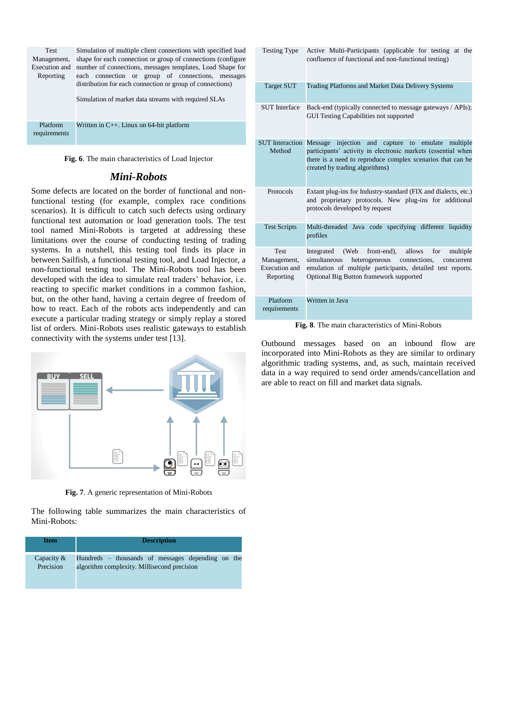| <b>Test</b>              | Simulation of multiple client connections with specified load                                                     |  |  |  |  |  |  |  |
|--------------------------|-------------------------------------------------------------------------------------------------------------------|--|--|--|--|--|--|--|
| Management,              | shape for each connection or group of connections (configure                                                      |  |  |  |  |  |  |  |
| Execution and            | number of connections, messages templates, Load Shape for                                                         |  |  |  |  |  |  |  |
| Reporting                | each connection or group of connections, messages                                                                 |  |  |  |  |  |  |  |
|                          | distribution for each connection or group of connections)<br>Simulation of market data streams with required SLAs |  |  |  |  |  |  |  |
| Platform<br>requirements | Written in $C_{++}$ . Linux on 64-bit platform                                                                    |  |  |  |  |  |  |  |

**Fig. 6**. The main characteristics of Load Injector

# *Mini-Robots*

Some defects are located on the border of functional and nonfunctional testing (for example, complex race conditions scenarios). It is difficult to catch such defects using ordinary functional test automation or load generation tools. The test tool named Mini-Robots is targeted at addressing these limitations over the course of conducting testing of trading systems. In a nutshell, this testing tool finds its place in between Sailfish, a functional testing tool, and Load Injector, a non-functional testing tool. The Mini-Robots tool has been developed with the idea to simulate real traders' behavior, i.e. reacting to specific market conditions in a common fashion, but, on the other hand, having a certain degree of freedom of how to react. Each of the robots acts independently and can execute a particular trading strategy or simply replay a stored list of orders. Mini-Robots uses realistic gateways to establish connectivity with the systems under test [13].



**Fig. 7**. A generic representation of Mini-Robots

The following table summarizes the main characteristics of Mini-Robots:

| <b>Item</b> | <b>Description</b>                                |  |  |  |  |  |
|-------------|---------------------------------------------------|--|--|--|--|--|
| Capacity &  | Hundreds – thousands of messages depending on the |  |  |  |  |  |
| Precision   | algorithm complexity. Millisecond precision       |  |  |  |  |  |

| <b>Testing Type</b>                                      | Active Multi-Participants (applicable for testing at the<br>confluence of functional and non-functional testing)                                                                                                                        |  |  |  |  |
|----------------------------------------------------------|-----------------------------------------------------------------------------------------------------------------------------------------------------------------------------------------------------------------------------------------|--|--|--|--|
| Target SUT                                               | Trading Platforms and Market Data Delivery Systems                                                                                                                                                                                      |  |  |  |  |
| <b>SUT</b> Interface                                     | Back-end (typically connected to message gateways / APIs);<br><b>GUI Testing Capabilities not supported</b>                                                                                                                             |  |  |  |  |
| <b>SUT</b> Interaction                                   | injection<br>Message<br>and<br>capture<br>emulate<br>to<br>multiple                                                                                                                                                                     |  |  |  |  |
| Method                                                   | participants' activity in electronic markets (essential when<br>there is a need to reproduce complex scenarios that can be<br>created by trading algorithms)                                                                            |  |  |  |  |
| Protocols                                                | Extant plug-ins for Industry-standard (FIX and dialects, etc.)<br>and proprietary protocols. New plug-ins for additional<br>protocols developed by request                                                                              |  |  |  |  |
| <b>Test Scripts</b>                                      | Multi-threaded Java code specifying different liquidity<br>profiles                                                                                                                                                                     |  |  |  |  |
| <b>Test</b><br>Management,<br>Execution and<br>Reporting | front-end),<br>allows<br>Integrated<br>(Web)<br>for<br>multiple<br>heterogeneous<br>connections,<br>simultaneous<br>concurrent<br>emulation of multiple participants, detailed test reports.<br>Optional Big Button framework supported |  |  |  |  |
| Platform<br>requirements                                 | Written in Java                                                                                                                                                                                                                         |  |  |  |  |

**Fig. 8**. The main characteristics of Mini-Robots

Outbound messages based on an inbound flow are incorporated into Mini-Robots as they are similar to ordinary algorithmic trading systems, and, as such, maintain received data in a way required to send order amends/cancellation and are able to react on fill and market data signals.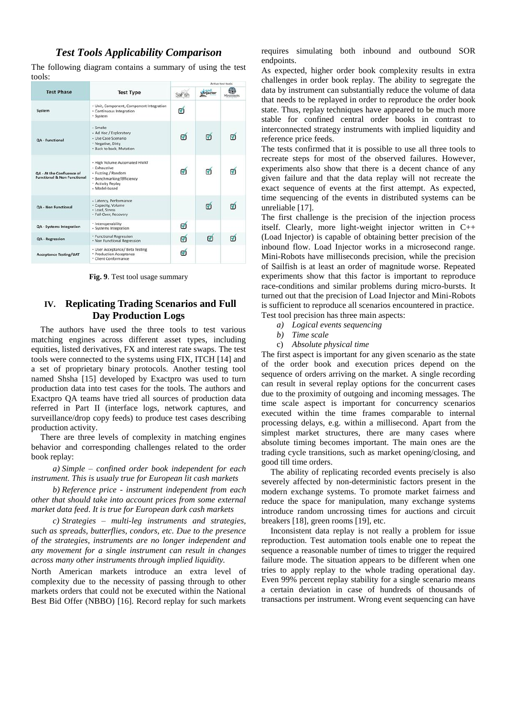# *Test Tools Applicability Comparison*

The following diagram contains a summary of using the test tools:

|                                                                            | <b>Test Type</b>                                                                                                                       | Active test tools |                  |                   |
|----------------------------------------------------------------------------|----------------------------------------------------------------------------------------------------------------------------------------|-------------------|------------------|-------------------|
| <b>Test Phase</b>                                                          |                                                                                                                                        |                   | <b>kinjector</b> | <b>Minirobots</b> |
| System                                                                     | · Unit, Component, Component Integration<br>· Continuous Integration<br>· System                                                       |                   |                  |                   |
| <b>QA - Functional</b>                                                     | - Smoke<br>· Ad Hoc / Exploratory<br>· Use Case Scenario<br>· Negative, Dirty<br>· Back to back, Mutation                              | σ                 | ൚                |                   |
| <b>QA - At the Confluence of</b><br><b>Functional &amp; Non Functional</b> | · High Volume Automated HiVAT<br>· Exhaustive<br>· Fuzzing / Random<br>· Benchmarking/Efficiency<br>· Activity Replay<br>· Model-based |                   | M                |                   |
| <b>QA - Non Functional</b>                                                 | - Latency, Performance<br>· Capacity, Volume<br>· Load, Stress<br>· Fail-Over, Recovery                                                |                   | ൚                |                   |
| QA - Systems Integration                                                   | · Interoperability<br>- Systems Integration                                                                                            | Ø                 |                  |                   |
| QA - Regression                                                            | · Functional Regression<br>· Non Functional Regression                                                                                 | M                 | 冋                |                   |
| <b>Acceptance Testing/UAT</b>                                              | · User Acceptance/ Beta Testing<br>* Production Acceptance<br>· Client Conformance                                                     |                   |                  |                   |

**Fig. 9**. Test tool usage summary

# **IV. Replicating Trading Scenarios and Full Day Production Logs**

The authors have used the three tools to test various matching engines across different asset types, including equities, listed derivatives, FX and interest rate swaps. The test tools were connected to the systems using FIX, ITCH [14] and a set of proprietary binary protocols. Another testing tool named Shsha [15] developed by Exactpro was used to turn production data into test cases for the tools. The authors and Exactpro QA teams have tried all sources of production data referred in Part II (interface logs, network captures, and surveillance/drop copy feeds) to produce test cases describing production activity.

There are three levels of complexity in matching engines behavior and corresponding challenges related to the order book replay:

*a) Simple – confined order book independent for each instrument. This is usualy true for European lit cash markets*

*b) Reference price - instrument independent from each other that should take into account prices from some external market data feed. It is true for European dark cash markets*

*c) Strategies – multi-leg instruments and strategies, such as spreads, butterflies, condors, etc. Due to the presence of the strategies, instruments are no longer independent and any movement for a single instrument can result in changes across many other instruments through implied liquidity.*

North American markets introduce an extra level of complexity due to the necessity of passing through to other markets orders that could not be executed within the National Best Bid Offer (NBBO) [16]. Record replay for such markets

requires simulating both inbound and outbound SOR endpoints.

As expected, higher order book complexity results in extra challenges in order book replay. The ability to segregate the data by instrument can substantially reduce the volume of data that needs to be replayed in order to reproduce the order book state. Thus, replay techniques have appeared to be much more stable for confined central order books in contrast to interconnected strategy instruments with implied liquidity and reference price feeds.

The tests confirmed that it is possible to use all three tools to recreate steps for most of the observed failures. However, experiments also show that there is a decent chance of any given failure and that the data replay will not recreate the exact sequence of events at the first attempt. As expected, time sequencing of the events in distributed systems can be unreliable [17].

The first challenge is the precision of the injection process itself. Clearly, more light-weight injector written in C++ (Load Injector) is capable of obtaining better precision of the inbound flow. Load Injector works in a microsecond range. Mini-Robots have milliseconds precision, while the precision of Sailfish is at least an order of magnitude worse. Repeated experiments show that this factor is important to reproduce race-conditions and similar problems during micro-bursts. It turned out that the precision of Load Injector and Mini-Robots is sufficient to reproduce all scenarios encountered in practice. Test tool precision has three main aspects:

- *a) Logical events sequencing*
- *b) Time scale*
- c) *Absolute physical time*

The first aspect is important for any given scenario as the state of the order book and execution prices depend on the sequence of orders arriving on the market. A single recording can result in several replay options for the concurrent cases due to the proximity of outgoing and incoming messages. The time scale aspect is important for concurrency scenarios executed within the time frames comparable to internal processing delays, e.g. within a millisecond. Apart from the simplest market structures, there are many cases where absolute timing becomes important. The main ones are the trading cycle transitions, such as market opening/closing, and good till time orders.

The ability of replicating recorded events precisely is also severely affected by non-deterministic factors present in the modern exchange systems. To promote market fairness and reduce the space for manipulation, many exchange systems introduce random uncrossing times for auctions and circuit breakers [18], green rooms [19], etc.

Inconsistent data replay is not really a problem for issue reproduction. Test automation tools enable one to repeat the sequence a reasonable number of times to trigger the required failure mode. The situation appears to be different when one tries to apply replay to the whole trading operational day. Even 99% percent replay stability for a single scenario means a certain deviation in case of hundreds of thousands of transactions per instrument. Wrong event sequencing can have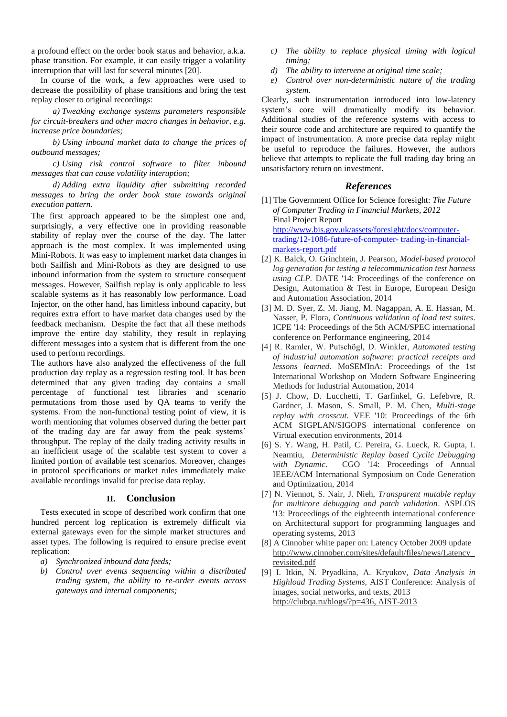a profound effect on the order book status and behavior, a.k.a. phase transition. For example, it can easily trigger a volatility interruption that will last for several minutes [20].

In course of the work, a few approaches were used to decrease the possibility of phase transitions and bring the test replay closer to original recordings:

*a) Tweaking exchange systems parameters responsible for circuit-breakers and other macro changes in behavior, e.g. increase price boundaries;*

*b) Using inbound market data to change the prices of outbound messages;*

*c) Using risk control software to filter inbound messages that can cause volatility interuption;*

*d) Adding extra liquidity after submitting recorded messages to bring the order book state towards original execution pattern.*

The first approach appeared to be the simplest one and, surprisingly, a very effective one in providing reasonable stability of replay over the course of the day. The latter approach is the most complex. It was implemented using Mini-Robots. It was easy to implement market data changes in both Sailfish and Mini-Robots as they are designed to use inbound information from the system to structure consequent messages. However, Sailfish replay is only applicable to less scalable systems as it has reasonably low performance. Load Injector, on the other hand, has limitless inbound capacity, but requires extra effort to have market data changes used by the feedback mechanism. Despite the fact that all these methods improve the entire day stability, they result in replaying different messages into a system that is different from the one used to perform recordings.

The authors have also analyzed the effectiveness of the full production day replay as a regression testing tool. It has been determined that any given trading day contains a small percentage of functional test libraries and scenario permutations from those used by QA teams to verify the systems. From the non-functional testing point of view, it is worth mentioning that volumes observed during the better part of the trading day are far away from the peak systems' throughput. The replay of the daily trading activity results in an inefficient usage of the scalable test system to cover a limited portion of available test scenarios. Moreover, changes in protocol specifications or market rules immediately make available recordings invalid for precise data replay.

#### **II. Conclusion**

Tests executed in scope of described work confirm that one hundred percent log replication is extremely difficult via external gateways even for the simple market structures and asset types. The following is required to ensure precise event replication:

- *a) Synchronized inbound data feeds;*
- *b) Control over events sequencing within a distributed trading system, the ability to re-order events across gateways and internal components;*
- *c) The ability to replace physical timing with logical timing;*
- *d) The ability to intervene at original time scale;*
- *e) Control over non-deterministic nature of the trading system.*

Clearly, such instrumentation introduced into low-latency system's core will dramatically modify its behavior. Additional studies of the reference systems with access to their source code and architecture are required to quantify the impact of instrumentation. A more precise data replay might be useful to reproduce the failures. However, the authors believe that attempts to replicate the full trading day bring an unsatisfactory return on investment.

#### *References*

- [1] The Government Office for Science foresight: *The Future of Computer Trading in Financial Markets, 2012*  Final Project Report [http://www.bis.gov.uk/assets/foresight/docs/computer](http://www.bis.gov.uk/assets/foresight/docs/computer-trading/12-1086-future-of-computer-%20trading-in-financial-markets-report.pdf)[trading/12-1086-future-of-computer-](http://www.bis.gov.uk/assets/foresight/docs/computer-trading/12-1086-future-of-computer-%20trading-in-financial-markets-report.pdf) trading-in-financial[markets-report.pdf](http://www.bis.gov.uk/assets/foresight/docs/computer-trading/12-1086-future-of-computer-%20trading-in-financial-markets-report.pdf)
- [2] K. Balck, O. Grinchtein, J. Pearson, *Model-based protocol log generation for testing a telecommunication test harness using CLP.* DATE '14: Proceedings of the conference on Design, Automation & Test in Europe, European Design and Automation Association, 2014
- [3] M. D. Syer, Z. M. Jiang, M. Nagappan, A. E. Hassan, M. Nasser, P. Flora, *Continuous validation of load test suites*. ICPE '14: Proceedings of the 5th ACM/SPEC international conference on Performance engineering, 2014
- [4] R. Ramler, W. Putschögl, D. Winkler, *Automated testing of industrial automation software: practical receipts and lessons learned.* MoSEMInA: Proceedings of the 1st International Workshop on Modern Software Engineering Methods for Industrial Automation, 2014
- [5] J. Chow, D. Lucchetti, T. Garfinkel, G. Lefebvre, R. Gardner, J. Mason, S. Small, P. M. Chen, *Multi-stage replay with crosscut.* VEE '10: Proceedings of the 6th ACM SIGPLAN/SIGOPS international conference on Virtual execution environments, 2014
- [6] S. Y. Wang, H. Patil, C. Pereira, G. Lueck, R. Gupta, I. Neamtiu, *Deterministic Replay based Cyclic Debugging with Dynamic*. CGO '14: Proceedings of Annual IEEE/ACM International Symposium on Code Generation and Optimization, 2014
- [7] N. Viennot, S. Nair, J. Nieh, *Transparent mutable replay for multicore debugging and patch validation*. ASPLOS '13: Proceedings of the eighteenth international conference on Architectural support for programming languages and operating systems, 2013
- [8] A Cinnober white paper on: Latency October 2009 update [http://www.cinnober.com/sites/default/files/news/Latency\\_](http://www.cinnober.com/sites/default/files/news/Latency_revisited.pdf) [revisited.pdf](http://www.cinnober.com/sites/default/files/news/Latency_revisited.pdf)
- [9] I. Itkin, N. Pryadkina, A. Kryukov, *Data Analysis in Highload Trading Systems,* AIST Conference: Analysis of images, social networks, and texts, 2013 [http://clubqa.ru/blogs/?p=436, AIST-2013](http://clubqa.ru/blogs/?p=436,%20AIST-2013)